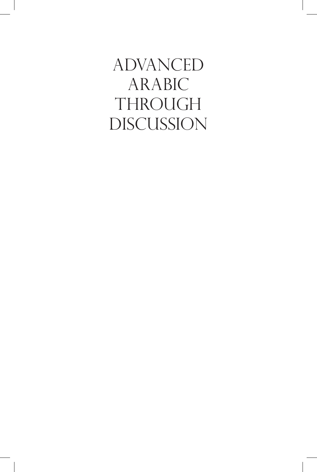**ADVANCED** ARABIC **THROUGH DISCUSSION**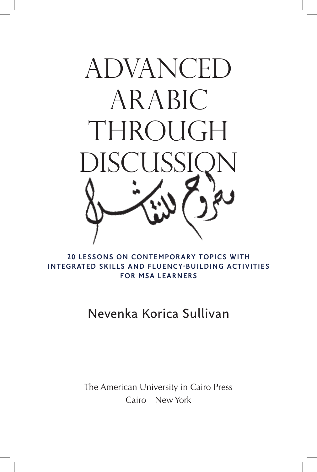

20 LESSONS ON CONTEMPORARY TOPICS WITH INTEGRATED SKILLS AND FLUENCY-BUILDING ACTIVITIES **FOR MSA LEARNERS** 

# Nevenka Korica Sullivan

The American University in Cairo Press Cairo New York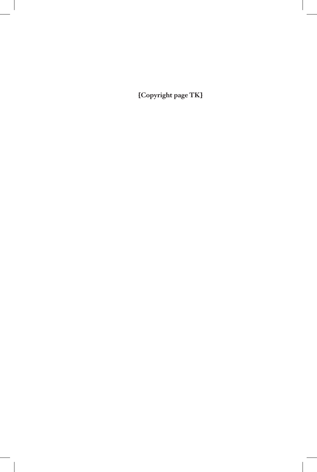**[Copyright page TK]**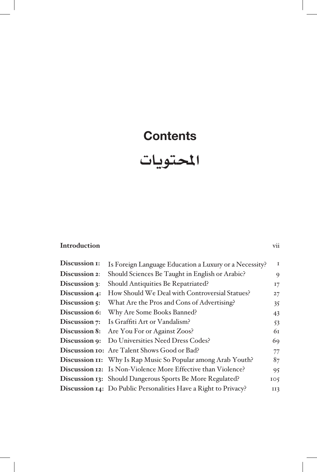### **Contents**

# ا<mark>ل</mark>حتويات

#### **Introduction** vii

| Discussion 1: | Is Foreign Language Education a Luxury or a Necessity?          | $\mathbf I$     |
|---------------|-----------------------------------------------------------------|-----------------|
| Discussion 2: | Should Sciences Be Taught in English or Arabic?                 | $\mathbf Q$     |
| Discussion 3: | Should Antiquities Be Repatriated?                              | I7              |
| Discussion 4: | How Should We Deal with Controversial Statues?                  | 27              |
| Discussion 5: | What Are the Pros and Cons of Advertising?                      | 35              |
| Discussion 6: | Why Are Some Books Banned?                                      | 43              |
| Discussion 7: | Is Graffiti Art or Vandalism?                                   | 53              |
| Discussion 8: | Are You For or Against Zoos?                                    | 61              |
| Discussion 9: | Do Universities Need Dress Codes?                               | 69              |
|               | Discussion 10: Are Talent Shows Good or Bad?                    | 77              |
|               | Discussion II: Why Is Rap Music So Popular among Arab Youth?    | 87              |
|               | Discussion 12: Is Non-Violence More Effective than Violence?    | 95              |
|               | Discussion 13: Should Dangerous Sports Be More Regulated?       | IO <sub>5</sub> |
|               | Discussion 14: Do Public Personalities Have a Right to Privacy? | II3             |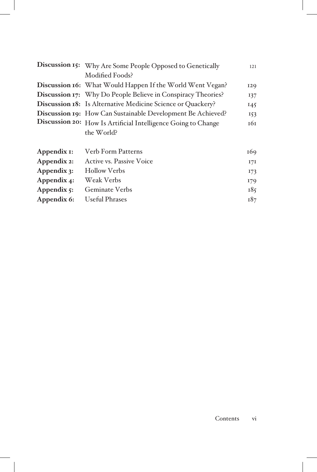|                        | Discussion 15: Why Are Some People Opposed to Genetically     | 121 |
|------------------------|---------------------------------------------------------------|-----|
|                        | Modified Foods?                                               |     |
|                        | Discussion 16: What Would Happen If the World Went Vegan?     | 129 |
|                        | Discussion 17: Why Do People Believe in Conspiracy Theories?  | 137 |
|                        | Discussion 18: Is Alternative Medicine Science or Quackery?   | 145 |
|                        | Discussion 19: How Can Sustainable Development Be Achieved?   | 153 |
|                        | Discussion 20: How Is Artificial Intelligence Going to Change | 161 |
|                        | the World?                                                    |     |
| Appendix 1:            | <b>Verb Form Patterns</b>                                     | 169 |
| Appendix 2:            | <b>Active vs. Passive Voice</b>                               | 17I |
| Appendix 3:            | <b>Hollow Verbs</b>                                           | 173 |
| Appendix 4:            | Weak Verbs                                                    | 179 |
| Appendix $\varsigma$ : | <b>Geminate Verbs</b>                                         | 185 |
| Appendix 6:            | <b>Useful Phrases</b>                                         | 187 |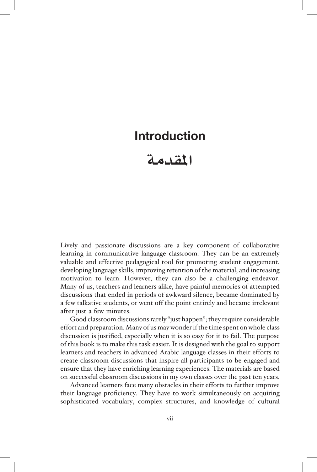#### **Introduction**

### **املقدمة**

Lively and passionate discussions are a key component of collaborative learning in communicative language classroom. They can be an extremely valuable and effective pedagogical tool for promoting student engagement, developing language skills, improving retention of the material, and increasing motivation to learn. However, they can also be a challenging endeavor. Many of us, teachers and learners alike, have painful memories of attempted discussions that ended in periods of awkward silence, became dominated by a few talkative students, or went off the point entirely and became irrelevant after just a few minutes.

Good classroom discussions rarely "just happen"; they require considerable effort and preparation. Many of us may wonder if the time spent on whole class discussion is justified, especially when it is so easy for it to fail. The purpose of this book is to make this task easier. It is designed with the goal to support learners and teachers in advanced Arabic language classes in their efforts to create classroom discussions that inspire all participants to be engaged and ensure that they have enriching learning experiences. The materials are based on successful classroom discussions in my own classes over the past ten years.

Advanced learners face many obstacles in their efforts to further improve their language proficiency. They have to work simultaneously on acquiring sophisticated vocabulary, complex structures, and knowledge of cultural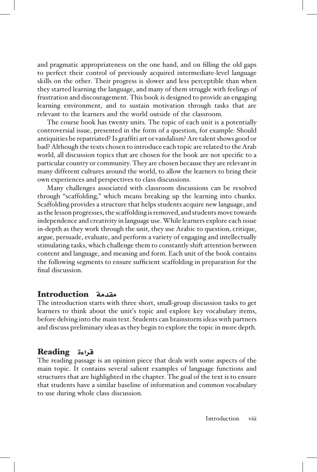and pragmatic appropriateness on the one hand, and on filling the old gaps to perfect their control of previously acquired intermediate-level language skills on the other. Their progress is slower and less perceptible than when they started learning the language, and many of them struggle with feelings of frustration and discouragement. This book is designed to provide an engaging learning environment, and to sustain motivation through tasks that are relevant to the learners and the world outside of the classroom.

The course book has twenty units. The topic of each unit is a potentially controversial issue, presented in the form of a question, for example: Should antiquities be repatriated? Is graffiti art or vandalism? Are talent shows good or bad? Although the texts chosen to introduce each topic are related to the Arab world, all discussion topics that are chosen for the book are not specific to a particular country or community. They are chosen because they are relevant in many different cultures around the world, to allow the learners to bring their own experiences and perspectives to class discussions.

Many challenges associated with classroom discussions can be resolved through "scaffolding," which means breaking up the learning into chunks. Scaffolding provides a structure that helps students acquire new language, and as the lesson progresses, the scaffolding is removed, and students move towards independence and creativity in language use. While learners explore each issue in-depth as they work through the unit, they use Arabic to question, critique, argue, persuade, evaluate, and perform a variety of engaging and intellectually stimulating tasks, which challenge them to constantly shift attention between content and language, and meaning and form. Each unit of the book contains the following segments to ensure sufficient scaffolding in preparation for the final discussion.

#### مقدمة Introduction

The introduction starts with three short, small-group discussion tasks to get learners to think about the unit's topic and explore key vocabulary items, before delving into the main text. Students can brainstorm ideas with partners and discuss preliminary ideas as they begin to explore the topic in more depth.

#### قراءة Reading

The reading passage is an opinion piece that deals with some aspects of the main topic. It contains several salient examples of language functions and structures that are highlighted in the chapter. The goal of the text is to ensure that students have a similar baseline of information and common vocabulary to use during whole class discussion.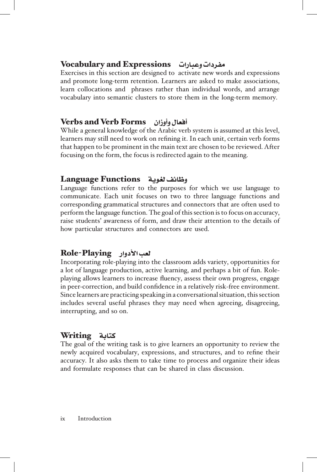#### مفردات وعبارات Expressions and Vocabulary

Exercises in this section are designed to activate new words and expressions and promote long-term retention. Learners are asked to make associations, learn collocations and phrases rather than individual words, and arrange vocabulary into semantic clusters to store them in the long-term memory.

#### أفعال وأوزان Forms Verb and Verbs

While a general knowledge of the Arabic verb system is assumed at this level, learners may still need to work on refining it. In each unit, certain verb forms that happen to be prominent in the main text are chosen to be reviewed. After focusing on the form, the focus is redirected again to the meaning.

#### وظائف لغوية Functions Language

Language functions refer to the purposes for which we use language to communicate. Each unit focuses on two to three language functions and corresponding grammatical structures and connectors that are often used to perform the language function. The goal of this section is to focus on accuracy, raise students' awareness of form, and draw their attention to the details of how particular structures and connectors are used.

#### لعب األدوار Playing-Role

Incorporating role-playing into the classroom adds variety, opportunities for playing allows learners to increase fluency, assess their own progress, engage a lot of language production, active learning, and perhaps a bit of fun. Rolein peer-correction, and build confidence in a relatively risk-free environment. Since learners are practicing speaking in a conversational situation, this section includes several useful phrases they may need when agreeing, disagreeing, interrupting, and so on.

#### كتابة Writing

The goal of the writing task is to give learners an opportunity to review the newly acquired vocabulary, expressions, and structures, and to refine their accuracy. It also asks them to take time to process and organize their ideas and formulate responses that can be shared in class discussion.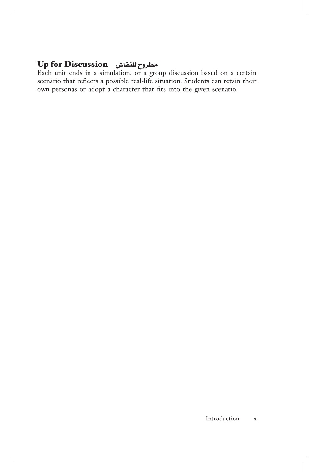#### مطروح للنقاش Discussion for Up

Each unit ends in a simulation, or a group discussion based on a certain scenario that reflects a possible real-life situation. Students can retain their own personas or adopt a character that fits into the given scenario.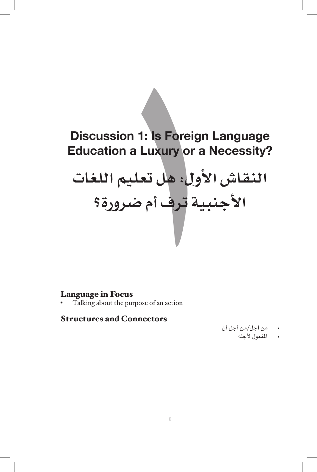# **Discussion 1: Is Foreign Language Education a Luxury or a Necessity?**

# ssion 1: Is Foreign Lang<br>tion a Luxury or a Nece<br>ش الأول: هل تعليم المنزورة<br>بالمنبية ترف أم ضرورة<br>منبية ترف أم **النقاش األول: هل تعليم اللغات األجنبية ترف أم ضرورة؟**

#### Language in Focus

Talking about the purpose of an action

#### **Structures and Connectors**

- من أجل/من أجل أن
	- املفعول ألجله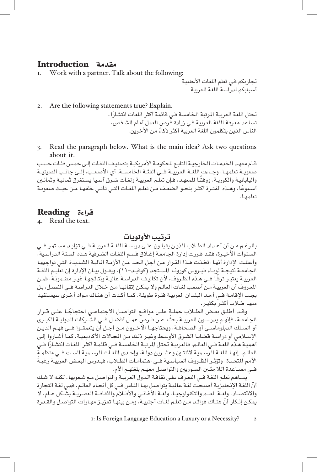# مقدمة **Introduction**<br>I. Work with a partner. T

Work with a partner. Talk about the following:

تجاربكم فـي تعلم اللغات الأجنبية أسبابكم لدراسة اللغة العربية

2. Are the following statements true? Explain.

تحتل اللغة العربية المرتبة الخامسة فـي قائمة أكثر اللغات انتشارًا . تساعد معرفة اللغة العربية فـي زيادة فرص العمل أمام الشخص. ً الناس الذين يتكلمون اللغة العربية أكثر ذكاء من اآلخرين.

3. Read the paragraph below. What is the main idea? Ask two questions about it.

قـام معهـد اخلدمـات اخلارجيـة التابـع للحكومـة األمريكيـة بتصنيـف اللغـات إلـى خمـس فئـات حسـب صعوبــة تعلمهــا، وجــاءت اللغــة العربيــة فـــي الفئــة اخلامســة، أي األصعــب، إلــى جانــب الصينيــة ً واليابانيـة والكوريـة. ووفقـا للمعهـد، فـإن تعلـم العربيـة ولغـات شـرق آسـيا يسـتغرق ثمانيـة وثمانـن ً أسـبوعا، وهـذه الفتـرة أكثـر بنحـو الضعـف مـن تعلـم اللغـات التـي تأتـي خلفهـا مـن حيـث صعوبـة تعلمهـا.

#### قراءة Reading

4. Read the text.

ترتيب الأولويات

بالرغـم مـن أن أعـداد الطـاب الذيـن يقبلـون علـى دراسـة اللغـة العربيـة فــي تزايـد مسـتمر فــي السـنوات الأخيـرة، فقـد قـررت إدارة الجامعـة إغـلاق قسـم اللغـات الشـرقية هـذه السـنة الدراسـية. وأعلنت الإدارة أنهـا اتخـذت هـذا القـرار مـن أجـل الحـد مـن الأزمـة الماليـة الشـديدة التـي تواجههـا الجامعــة نتيجــة لوبــاء فيــروس كورونــا المسـتجد (كوفيـد–١٩). ويقــول بيــان الإدارة إن تعليـم اللغــة ً العربيـة يعتبـر ترفـا فــي هـذه الظـروف، ألن تكاليـف الدراسـة عاليـة ونتائجهـا غيـر مضمونـة. فمـن املعـروف أن العربيـة مـن أصعـب لغـات العالـم وال ميكـن إتقانهـا مـن خـال الدراسـة فــي الفصـل، بـل يجـب اإلقامـة فــي أحـد البلـدان العربيـة فتـرة طويلـة. كمـا أكـدت أن هنـاك مـواد أخـرى سيسـتفيد

منهـا طـلاب أكثـر بكثيـر.<br>وقـد أطلـق بعـض الطــلاب حملـةٍ علـى مواقــع التواصـل الاجتماعـى احتجاجًــا علـى قــرار وقـد أطلـق بعـض الطــلاب حملــة علــى مواقــع التواصــل الاجتماعــي احتجاجُــا علــى قــرار<br>الجامعــة. فإنهـم يدرســون العربيــة بحثـًا عـن فـرص عمـل أفضـل فــي الشــركات الدوليــة الكبــرى أو الســلك الدبلوماســي أو الصحافــة. ويحتاجهــا اآلخــرون مــن أجــل أن يتعمقــوا فـــي فهــم الديــن الإسـلامي أو دراسـة قضايـا الشـرق الأوسـط وغيـر ذلـك مـن الجـالات الأكاديميـة. كمـاً أشـاروا إلـى<br>أهميـة هـذه اللغـة فـي العالـم، فالعربيـة تحتل المرتبـة الخـامسـة فـي قائمـة أكثـر اللغـات انتشـارًا فـي العالـم. إنهـا اللغـة الرسـمية لاثنتـين وعشـرين دولـة، وإحـدى اللغـات الرسـمية السـت فــي منظمـة ً األمم املتحـدة. وتؤثـر الظـروف السياسـية فــي اهتمامـات الطـاب، فيـدرس البعـض العربيـة رغبـة فــي مسـاعدة الالجئـن السـوريني والتواصـل معهـم بلغتهـم األم.

يسـاهم تعلـم اللغـة فــي التعـرف علـى ثقافـة الـدول العربيـة والتواصـل مـع شـعوبها. لكنـه ال شـك ّأن اللغـة اإلجنليزيـة أصبحـت لغـة عامليـة يتواصـل بهـا النـاس فــي كل أنحـاء العالـم. فهـي لغـة التجارة والاقتصــاد، ولغــة العلـم والتكنولوجيــا، ولغــة الأغانــي والأفــلام والثقافــة العصريــة بشــكل عــام. لا ّ ميكـن إنـكار أن هنـاك فوائـد مـن تعلـم لغـات أجنبيـة، ومـن بينهـا تعزيـز مهـارات التواصـل والقـدرة

1: Is Foreign Language Education a Luxury or a Necessity? 2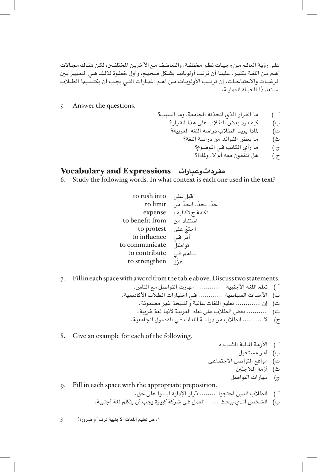علـى رؤيـة العالـم مـن وجهـات نظـر مختلفـة، والتعاطـف مـع الآخريـن المختلفـين، لكـن هنـاك مجـالات أهـم مـن اللغـة بكثيـر. علينـا أن نرتـب أولوياتنـا بشـكل صحيـح، وأول خطـوة لذلـك هـي التمييـز بـن الرغبــات والاحتياجــات. إن ترتيـب الأولويــات مــن أهــم المهـارات التــي يجـب أن يكتسـبها الطــلاب استعدادًا للحيـاة العمليـة.

- 5. Answer the questions.
- أ ) ما القرار الذي اتخذته الجامعة، وما السبب؟ ب( كيف رد بعض الطالب على هذا القرار؟ ت) للذا يريد الطلاب دراسة اللغة العربية؟
	- ث( ما بعض الفوائد من دراسة اللغة؟
		- ج ) ما رأي الكاتب فـي الموضوع؟
		- ح ) هل تتفقون معه أم لا، ولماذا؟

#### مفردات وعبارات Expressions and Vocabulary

Study the following words. In what context is each one used in the text?

- to rush into أقبل على حدّ، يحدّ، الحدّ من to limit تكلفة ج تكاليف expense استفاد من to benefit from<br>احتجّ على to protest to influence أثر فـي تواصَل to communicate<br>ساهم فـي to contribute<br>عزّز co strengthen to strengthen
- 7. Fill in each space with a word from the table above. Discuss two statements.
	- أ ( تعلم اللغة األجنبية .............. مهارت التواصل مع الناس. ب) الأحداث السياسية ............ في اختيارات الطلاب الأكاديمية. ت) إن ............. تعليم اللغات عالية والنتيجة غير مضمونة.
		- ث) .......... بعض الطلاب على تعلم العربية لأنها لغة غريبة.
		- ج) لا ......... الطلاب من دراسة اللغات فى الفصول الجامعية.
- 8. Give an example for each of the following.
- أ ) الأزمة المالية الشديدة
	- ب) أمر مستحيل
- ت) مواقع التواصل الاجتماعي
	- ث) أزمة اللاجئين
	- ج) مهارات التواصل

9. Fill in each space with the appropriate preposition.

- أ ( الطالب الذين احتجوا ........ قرار اإلدارة ليسوا على حق.
- ب) الشخص الذي يبحث ...... العمل فـي شركة كبيرة يجب أن يتكلم لغة أجنبية.

:١ هل تعليم اللغات األجنبية ترف أم ضرورة؟ 3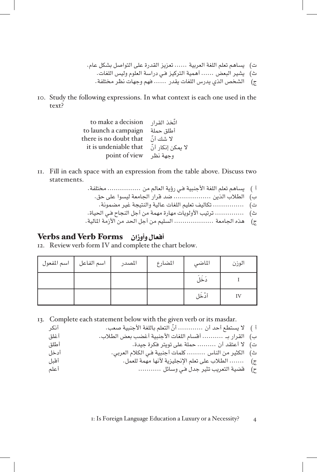- ت) يساهم تعلم اللغة العربية ...... تعزيز القدرة على التواصل بشكل عام. ث) يشير البعض ...... أهمية التركيز فـي دراسة العلوم وليس اللغات. ج) الشخص الذي يدرس اللغات يقدر ...... فهم وجهات نظر مختلفة.
- to. Study the following expressions. In what context is each one used in the text?

| to make a decision     | اتّخذ القرار      |
|------------------------|-------------------|
| to launch a campaign   | أطلق حملة         |
| there is no doubt that | لا شك أنّ         |
| it is undeniable that  | لا يمكن إنكار أنّ |
| point of view          | وحهة نظر          |

- II. Fill in each space with an expression from the table above. Discuss two statements.
	- أ ) يساهم تعلم اللغة الأجنبية فـي رؤية العالم من .................. مختلفة. ب) الطلاب الذين .................. ضد قرار الجامعة ليسوا على حق. ت) ................ تكاليف تعليم اللغات عالية والنتيجة غير مضمونة. ث) ............... ترتيب الأولويات مهارة مهمة من أجل النجاح فـي الحياة.
	- ج) هذه الجامعة ...................... السليم من أجل الحد من الأزمة المالية.

#### أفعال وأوزان Forms Verb and Verbs

12. Review verb form IV and complete the chart below.

| اسم المفعول | اسم الفاعل | المصدر | المضارع | الماضي | الوزن |
|-------------|------------|--------|---------|--------|-------|
|             |            |        |         | دَخَلَ |       |
|             |            |        |         | أدْخَل |       |

13. Complete each statement below with the given verb or its masdar.

| أنكر | أ ﴾   لا يستطع أحد أن  أنَّ التعلم باللغة الأجنبية صعب. |  |
|------|---------------------------------------------------------|--|
| أغلق | ب)   القرار بـ   أقسام اللغات الأجنبية أغضب بعض الطلاب. |  |
| أطلق | ت) لا أعتقد أن  حملة على تويتر فكرة جيدة.               |  |
| أدخل | ث)    الكثير من الناس  كلمات أجنبية فـي الكلام العربي.  |  |
| أقىل | ج)      الطلاب على تعلم الإنجليزية لأنها مهمة للعمل.    |  |
| أعلم | ح)    قضية التعريب تثير جدل في وسائل                    |  |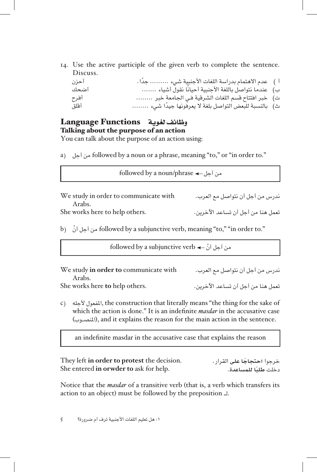14. Use the active participle of the given verb to complete the sentence. Discuss.

| أحزن | أ ) عدم الاهتمام بدراسة اللغات الأجنبية شيء  جدًا.    |  |
|------|-------------------------------------------------------|--|
| أضحك | ب) عندما نتواصل باللغة الأجنبية أحيانًا نقول أشياء    |  |
| أفرح | ت) خبر افتتاح قسم اللغات الشرقية فـي الجامعة خبر      |  |
| أقلق | ث)   بالنسبة للبعض التواصل بلغة لا يعرفونها جيدًا شيء |  |

#### وظائف لغوية Functions Language Talking about the purpose of an action

You can talk about the purpose of an action using:

a) iollowed by a noun or a phrase, meaning "to," or "in order to."

| We study in order to communicate with    | ندرس من أجل أن نتواصل مع العرب.   |
|------------------------------------------|-----------------------------------|
| Arabs.<br>She works here to help others. | تعمل هنا من أجل أن تساعد الآخرين. |

 $followed$  by a noun/phrase  $\leftarrow$ من أجل

b) ن أجل أنّ followed by a subjunctive verb, meaning "to," "in order to."

followed by a subjunctive verb  $\leftarrow$   $\tilde{\psi}$  and  $\phi$ 

| We study in order to communicate with | ندرس من أجل أن نتواصل مع العرب.   |
|---------------------------------------|-----------------------------------|
| Arabs.                                |                                   |
| She works here to help others.        | تعمل هنا من أجل أن تساعد الآخرين. |

c) المفعول لأجله, the construction that literally means "the thing for the sake of which the action is done." It is an indefinite *masdar* in the accusative case .sentence the in action main the for reason the explains it and ,)املنصــوب)

an indefinite masdar in the accusative case that explains the reason

خرجوا ا**حتجاجًا على** القرار. .<br>دخلت **طلبًا للمِساعدة. .**<br>دخلت **طلبًا للمِساعدة.** . She entered in orwder to ask for help.

Notice that the *masdar* of a transitive verb (that is, a verb which transfers its action to an object) must be followed by the preposition  $\perp$ .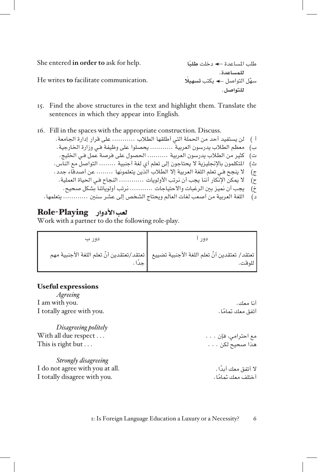She entered in order to ask for help.

He writes to facilitate communication.

طلب املساعدة دخلت **ًطلبا للمساعدة**. ّسهل التواصل يكتب **ً تسهيل للتواصل**.

- 15. Find the above structures in the text and highlight them. Translate the sentences in which they appear into English.
- 16. Fill in the spaces with the appropriate construction. Discuss.

أ ( لن يستفيد أحد من احلملة التي أطلقها الطالب ........... على قرار إدارة اجلامعة. ب) معظم الطلاب يدرسون العربية ً ........... يحصلوا على وظيفة فـي وزارة الخارجية. ت) كثير من الطلاب يدرسون العربية .......... الحصول على فرصة عمل فـي الخليج. ث) المتكلمون بالإنجليزية لا يحتاجون إلى تعلم أي لغة أجنبية ........ التواصل مع الناس. ج) لا ينجح فـي تعلم اللغة العربية إلا الطلاب الذين يتعلمونها ........ عن أصدقاء جدد . ح) لا يمكن الإنكار أننا يجب أن نرتب الأولويات ............. النجاح فـي الحياة العملية. خْ) يجب أن نميز بين الرغبات والاحتياجات ........... نرتب أولوياتنا بشكل صحيح. د) اللغة العربية من أصعب لغات العالم ويحتاج الشخص إلى عشر سنين ............. يتعلمها.

#### لعب الأدوار Role-Playing

Work with a partner to do the following role-play.

| دور ب | ده د                                                                                                             |
|-------|------------------------------------------------------------------------------------------------------------------|
|       | تعتقد/ تعتقدين أنّ تعلم اللغة الأجنبية تضييع    تعتقد/تعتقدين أنّ تعلم اللغة الأجنبية مهم<br>  لم تبدأ<br>اللوقت |

#### Useful expressions

| <b>Agreeing</b>                 |                     |
|---------------------------------|---------------------|
| I am with you.                  | أنا معك.            |
| I totally agree with you.       | أتفق معك تمامًا .   |
| Disagreeing politely            |                     |
| With all due respect            | مع احترامي، فإن     |
| This is right but               | هذا صحيح لكن        |
| Strongly disagreeing            |                     |
| I do not agree with you at all. | لا أتفق معك أبدًا . |
| I totally disagree with you.    | أختلف معك تمامًا .  |
|                                 |                     |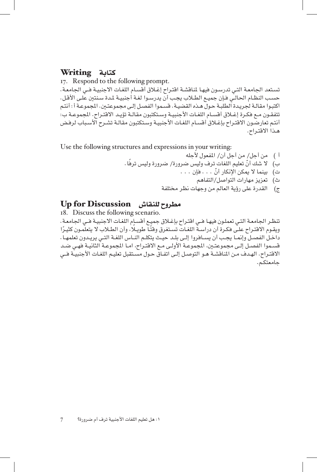#### كتابة Writing

17. Respond to the following prompt. تستعد الجامعة التـي تدرسـون فيهـا لمناقشـة اقتـراح إغـلاق أقسـام اللغـات الاجنبيـة فـي الجامعـة. حسب النظـام الحالـي فـإن جميـع الطـلاب يجـب أن يدرسـوا لغـة أجنبيـة لمـدة سـنتين علـى الأقـل. اكتبـوا مقالـة لجريـدة الطلبـة حـول هـذه القضيـة. قسـموا الفصـل إلـى مجموعتـين. المجموعـة أ : أنتـم تتفقـون مـع فكـرة إغـلاق أقسـام اللغـات الأجنبيـة وسـتكتبون مقالـة تؤيـد الاقتـراح. الجموعـة ب: أنتـم تعارضـون االقتـراح بإغـاق أقسـام اللغـات األجنبيـة وسـتكتبون مقالـة تشـرح األسـباب لرفـض هـذا االقتـراح.

Use the following structures and expressions in your writing:

- أ ( من أجل/ من أجل أن/ املفعول ألجله ب( ّ ال شك أن ً تعليم اللغات ترف وليس ضرورة/ ضرورة وليس ترفا. ت) بينما لا يمكن الإنكار أنّ . . . فإن . . . ث( تعزيز مهارات التواصل/التفاهم
	- ج) القدرة على رؤية العالم من وجهات نظر مختلفة

#### مطروح للنقاش Discussion for Up

18. Discuss the following scenario. تنظـر الجامعـة التـي تعملـون فيهـا فـي اقتـراح بإغـلاق جميـع أقسـام اللغـات الاجنبيـة فـي الجامعـة. ويقـوم الاقتـراح علـى فكـرة أن دراسـة اللغـات تسـتغرق وقتًـا طويـلا، وأن الطـلاب لا يتعلمـون كثيـرًا داخــل الفصــل وإمنــا يجــب أن يســافروا إلــى بلــد حيــث يتكلــم النــاس اللغــة التــي يريــدون تعلمهــا. قسـموا الفصـل إلـى مجموعتـن، املجموعـة األولـى مـع االقتـراح، امـا املجموعـة الثانيـة فهـي ضـد الاقتـراح. الهـدف مـن المناقشـة هـو التوصـل إلـى اتفـاق حـول مسـتقبل تعليـم اللغـات الأجنبيـة فــي جامعتكـم.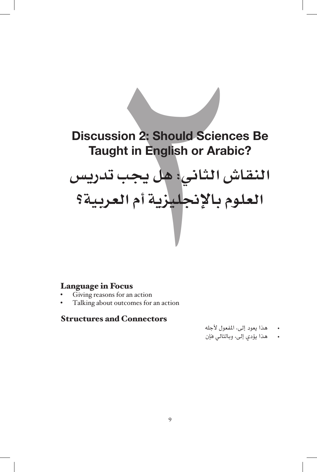# ssion 2: Should Scienc<br>ught in English or Arabi<br>ن الثاني: هل يجب تد<br>بم بالإنجليزية أم العر<br>الفعر الإنجليزية<br>n Focus<br>ons for an action<br>and Connectors **Discussion 2: Should Sciences Be Taught in English or Arabic? النقاش الثاني: هل يجب تدريس العلوم باإلجنليزية أم العربية؟**

#### Language in Focus

- Giving reasons for an action
- Talking about outcomes for an action

#### **Structures and Connectors**

- هذا يعود إلى، املفعول ألجله
- هذا يؤدي إلى، وبالتالي فإن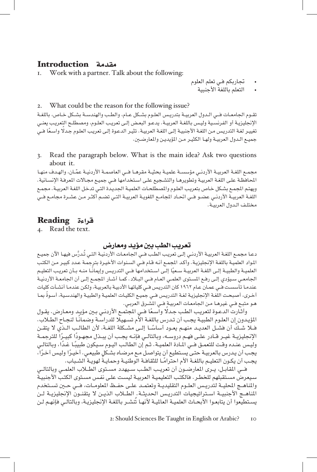# مقدمة **Introduction**<br>I. Work with a partner. T

Work with a partner. Talk about the following:

- جتاربكم فـي تعلم العلوم
	- التعلم باللغة الأجنبية

#### 2. What could be the reason for the following issue?

تقــوم الجامعــات فــي الــدول العربيــة بتدريـس العلـوم بشــكل عــام، والطـب والهندســة بشــكل خــاص، باللغــة اإلجنليزيـة أو الفرنسـية وليـس باللغـة العربيـة. يدعـو البعـض إلـى تعريـب العلـوم، ومصطلـح التعريـب يعنـي تغييـر لغـة التدريـس مـن اللغـة األجنبيـة إلـى اللغـة العربيـة. تثيـر الدعـوة إلـى تعريـب العلـوم جـدًل ً واسـعا فــي جميـع الـدول العربيـة ولهـا الكثيـر مـن املؤيديـن واملعارضـن.

3. Read the paragraph below. What is the main idea? Ask two questions about it.

ّ مجمــع اللغــة العربيــة األردنــي مؤسســة علميــة بحثيــة مقرهــا فـــي العاصمــة األردنيــة عمــان، والهــدف منهــا المحافظـة علـى اللغـة العربيـة وتطويرهـا والتشـجيع علـى اسـتخدامها فـي جميـع مجـالات المعرفـة الإنسـانية. ويهتم الجمـع بشـكل خـاص بتعريب العلـوم والمصطلحـات العلميـة الجديـدة التـي تدخل اللغـة العربيـة. مجمـع اللغـة العربيـة األردنـي عضـو فــي احتـاد املجامـع اللغويـة العربيـة التـي تضـم أكثـر مـن عشـرة مجامـع فــي مختلـف الـدول العربيـة.

#### قراءة Reading

4. Read the text.

#### تعريب الطب بني مؤيد ومعارض

دعـا مجمـع اللغـة العربيـة الأردنـي إلـى تعريب الطب فــي الجامعـات الأردنيـة التـي تُـدرَّس فيهـا الآن جميـع المواد العلميـة باللغـة الإنجليزيـة. وأكـد الجمـع أنـه قـام فـي السـنوات الأخيـرة بترجمـة عـدد كبيـر مـن الكتب العلميــة والطبيــة إلــى اللغــة العربيــة ســعيًا إلــى اسـتخدامها فــي التدريـس وإيمانـًـا منــه بــأن تعريـب التعليـم الجامعـي سـيؤدي إلـى رفـع المستوى العلمـي العـام فـي البـلاد . كمـا أشـار المجمـع إلـى أن الجامعـة الأردنيـة عندمـا تأسسـت فــي عمـان عـام ١٩٦٢ كان التدريـس فــي كلياتهـا األدبيـة بالعربيـة، ولكـن عندمـا أنشـأت كليات ً أخـرى، أصبحـت اللغـة اإلجنليزيـة لغـة التدريـس فــي جميـع الكليـات العلميـة والطبيـة والهندسـية، أسـوة مبـا هـو متبـع فــي غيرهـا مـن اجلامعـات العربيـة فــي املشـرق العربـي.

وأثـارت الدعـوة لتعريـب الطـب جـدلًا واسـعًا فــي المجتمـع الأردنـي بـين مؤيـد ومعـارض. يقـول المؤيـدون إن العلـوم الطبيـة يجـب أن تـدرس باللغـة الأم تسـهيـلا للدراسـة وضمانـًا لنجـاح الطـلاب. ّ فــا شــك ً أن فشــل العديــد منهــم يعــود أساســا إلــى مشــكلة اللغــة، ألن الطالــب الــذي ال يتقــن الإنجليزيــة غيــر قــادر علــى فهـم دروســه، وبالتالــي فإنــه يجـب أن يبــذل مجهـودًا كبيــرًا للترجمــة<br>وليـس عنــده وقـت للتعمـق فــي المـادة العلميـة . ثـم إن الطالـب اليـوم سـيكون طبيبًـا غـدًا، وبالتالـي يجـب أن يـدرس بالعربيـة حتـى يسـتطيع أن يتواصـل مـع مرضـاه بشـكلٍ طبيعـي. أخيـرًا وليـس آخـرًا ،<br>يجـب أن يكـون التعليـم بـاللغـة الأم احترامًـا للثقـافـة الوطنيـة وحمايـةً لهويـة الشـبـاب.

فــي المقابـل، يــرى المعارضــون أن تعريـب الطـب سـيهدد مســتوى الطــلاب العلمــي وبالتالــي سـيعرض مسـتقبلهم للخطـر. فالكتـب التعليميـة العربيـة ليسـت علـى نفـس مسـتوى الكتـب األجنبيـة والناهــج الحليــة لتدريــس العلــوم التقليديــة وتعتمـد علــى حفــظ المعلومــات، فــى حــين تســتخدم المناهــج الأجنبيــة اســتراتيجيات التدريـس الحديثــة. الطــلاب الذيــن لا يتقنــون الإنجليزيــة لــن يسـتطيعوا أن يتابعـوا األبحـاث العلميـة العامليـة ألنهـا تُنشـر باللغـة اإلجنليزيـة، وبالتالـي فإنهـم لـن

2: Should Sciences Be Taught in English or Arabic? 10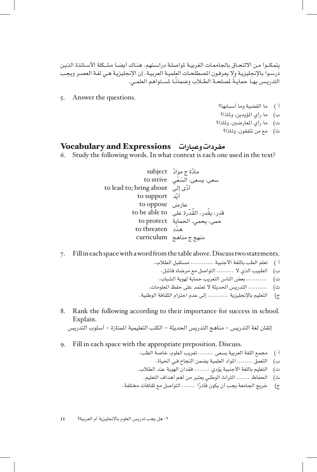يتمكنـوا مـن الالتحـاق بالجامعـات الغربيـة لمواصلـة دراسـتهم. هنـاك أيضـا مشـكلة الأسـاتذة الذيـن درسـوا باإلجنليزيـة وال يعرفـون املصطلحـات العلميـة العربيـة. إن اإلجنليزيـة هـي لغـة العصـر ويجـب ً التدريــس بهــا حمايــة ً ملصلحــة الطــاب وضمانــا ملســتواهم العلمــي.

5. Answer the questions.

- أ ( ما القضية وما أسبابها؟ ب( ما رأي املؤيدين، وملاذا؟ ت) ما رأي المعارضين، ولماذا؟
	- ث( مع من تتفقون، وملاذا؟

#### مفردات وعبارات Expressions and Vocabulary

6. Study the following words. In what context is each one used in the text?

مادَّة ج موادَّ subject<br>سعى، يسعى، السَغَى to strive to lead to; bring about أدَّى إلى<br>أدَّ to support عارض to oppose ِقد ْ ر، يق ُ در، القْدرة على to able be to حمى، يحمى، الحماية to protect to threaten مدّد منهج ج مناهج curriculum

7. Fill in each space with a word from the table above. Discuss two statements.

- أ ( تعلم الطب باللغة األجنبية ............ مستقبل الطالب.
	- ب( الطبيب الذي ال ......... التواصل مع مرضاه فاشل.
	- ت) ........... بعض الناس التعريب حماية لهوية الشباب.
- ث) .......... التدريس الحديثة لا تعتمد على حفظ الملومات.
- ج) التعليم بالإنجليزية ............ إلى عدم احترام الثقافة الوطنية.
- 8. Rank the following according to their importance for success in school. Explain. إتقان لغة التدريس – مناهج التدريس الحديثة – الكتب التعليمية الممتازة – أسلوب التدريس

- 9. Fill in each space with the appropriate preposition. Discuss.
	- أ ( مجمع اللغة العربية يسعى ........ تعريب العلوم، خاصة الطب.
		- ب) التعمق ........ المواد العلمية يضمن النجاح فى الحياة.
	- ت) التعليم باللغة الأجنبية يؤدي ........ فقدان الهوية عند الطلاب.
		- ث) الحفاظ ....... التراث الوطني يعتبر من أهم أهداف التعليم.
	- ج) خريج الجامعة يجب أن يكون قادرًا ....... التواصل مع ثقافات مختلفة.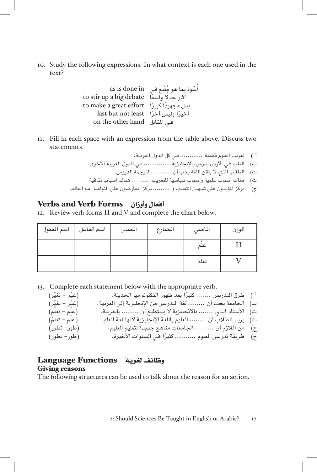to. Study the following expressions. In what context is each one used in the ?text

أ in done is as ُ ْس ُ وة مبا هو مّتبع فـي أثار جدًل debate big a up stir to ً واسعا ً بذل مجهود ً ا كبير effort great a make to ا least not but last ً أخير ً ا وليس آخرا فـي املقابل hand other the on

II. Fill in each space with an expression from the table above. Discuss two statements.

أ ( تعريب العلوم قضية ............ فـي كل الدول العربية. ب( الطب فـي األردن يدرس باإلجنليزية .............. فـي الدول العربية األخرى. ت( الطالب الذي ال يتقن اللغة يجب أن ........... لترجمة الدروس. ث( هناك أسباب علمية وأسباب سياسية للتعريب، ......... هناك أسباب ثقافية. ج( يركز املؤيدون على تسهيل التعليم، و ......... يركز املعارضون على التواصل مع العالم.

#### أفعال وأوزان Forms Verb and Verbs

12. Review verb forms II and V and complete the chart below.

| اسم المفعول | اسم الفاعل | المصدر | المضارع | الماضي | الوزن |
|-------------|------------|--------|---------|--------|-------|
|             |            |        |         | علم    |       |
|             |            |        |         | تعلم   |       |

13. Complete each statement below with the appropriate verb.

| (غیّر – تغیّر)       | أ )    طرق التدريس  كثيرًا بعد ظهور التكنولوجيا الحديثة.       |  |
|----------------------|----------------------------------------------------------------|--|
| (غَيِّرِ – تَغَيِّر) | ب) الجامعة يجب أن  لغة التدريس من الإنجليزية إلى العربية.      |  |
| (علم - تعلم)         | ت)   الأستاذ الذي ……. بالانجليزية لا يستطيع أن ……… بالعربية.   |  |
| (علم – تعلمٌ)        | ث)   يريد الطلاب أن  العلوم باللغة الإنجليزية لأنها لغة العلم. |  |
| (طور– تطور)          | ج)    من اللازم أن  الجامعات مناهج جديدة لتعليم العلوم.        |  |
| (طور– تطور)          | ح)    طريقة تدريس العلوم ………. كثيرًا فـي السنوات الأخيرة.      |  |

#### وظائف لغوية Functions Language **Giving reasons**

The following structures can be used to talk about the reason for an action.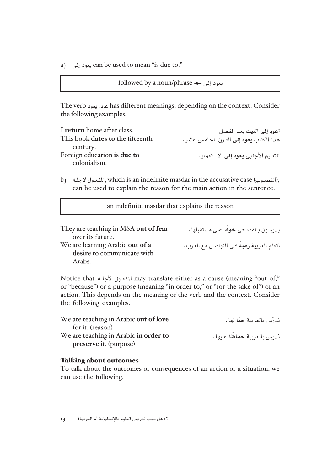a) يعود إلى can be used to mean "is due to."

```
followed by a noun/phrase \leftarrowيعود إلى \leftarrow
```
 Consider .context the on depending ,meanings different has عاد، يعود verb The the following examples.

| I return home after class.       | أعود إلى البيت بعد الفصل.             |
|----------------------------------|---------------------------------------|
| This book dates to the fifteenth | هذا الكتاب يعود إلى القرن الخامس عشر. |
| century.                         |                                       |
| Foreign education is due to      | التعليم الأجنبي يعود إلى الاستعمار.   |
| colonialism.                     |                                       |

b) المفعول الأحله, which is an indefinite masdar in the accusative case (المنصوب), can be used to explain the reason for the main action in the sentence.

an indefinite masdar that explains the reason

| They are teaching in MSA out of fear                          | يدرسون بالفصحى خوفًا على مستقبلها .      |
|---------------------------------------------------------------|------------------------------------------|
| over its future.                                              |                                          |
| We are learning Arabic out of a<br>desire to communicate with | نتعلم العربية رغبةً في التواصل مع العرب. |
| Arabs.                                                        |                                          |

Notice that المفعـول لأجلـه may translate either as a cause (meaning "out of," or "because") or a purpose (meaning "in order to," or "for the sake of") of an action. This depends on the meaning of the verb and the context. Consider the following examples.

| We are teaching in Arabic out of love | ندرّس بالعربية حبّا لها .  |
|---------------------------------------|----------------------------|
| for it. (reason)                      |                            |
| We are teaching in Arabic in order to | ندرس بالعربية حفاظا عليها. |
| preserve it. (purpose)                |                            |

#### Talking about outcomes

To talk about the outcomes or consequences of an action or a situation, we can use the following.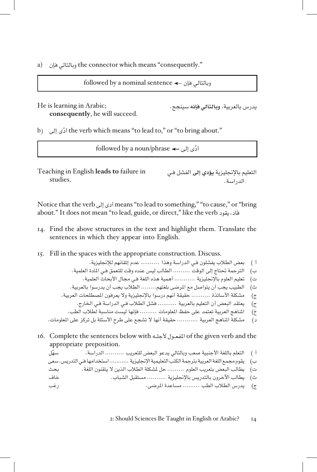a) uhe connector which means "consequently."

```
\text{followed by a nominal sentence} \leftarrow \text{split}وبالتالي فإن
```
يدرس بالعربية، **وبالتالي فإنه** سينجح. ;Arabic in learning is He consequently, he will succeed.

b) ithe verb which means "to lead to," or "to bring about."

 $\text{followed by a noun/phrase} \leftarrow \text{if}$ أدّى إلى ه

Teaching in English **leads** to failure in .studies

```
التعليم باإلجنليزية يؤدي إلى الفشل فـي 
            الدراسة.
```
bring أدى إلى means "to lead to something," "to cause," or "bring قاد، يقود verb the verb is the verb is the verb . قاد، يقود

- 14. Find the above structures in the text and highlight them. Translate the sentences in which they appear into English.
- 15. Fill in the spaces with the appropriate construction. Discuss.

أ ( بعض الطالب يفشلون فـي الدراسة وهذا .......... عدم إتقانهم لإلجنليزية.

- ب) الترجمة تحتاج إلى الوقت ......... الطالب ليس عنده وقت للتعمق فـي المادة العلمية.
- ت) تعليم العلوم بالإنجليزية ........... أهمية هذه اللغة فـي مجال الأبحاث العلمية.
- ث) الطبيب يجب أن يتواصل مع المرضى بلغتهم........ الطلاب يجب أن يدرسوا بالعربية.
- ج) مشكلة الأساتذة .......... حقيقة أنهم درسوا بالإنجليزية ولا يعرفون المصطلحات العربية.
	- ح) يعتقد البعض أن التعليم بالعربية .......... فشل الطلاب فـي الدراسة فـي الخارج.
- خ) المناهج العربية تعتمد على حفظ المعلومات ......... فإنها ليست مناسبة لطلاب الطب.
- د) مشكلة المناهج العربية ........... حقيقة أنها لا تشجع على طرح الأسئلة بل تركز على الملومات.
- the and verb given the of املفعــول ألجلــه with below sentences the Complete 16. appropriate preposition.

أ ( التعلم باللغة األجنبية صعب وبالتالي يدعو البعض للتعريب .......... الدراسة. ّسهل ب( يقوم مجمع اللغة العربية بترجمة الكتب التعليمية اإلجنليزية ........... استخدامها فـي التدريس. سعى ت( يطالب البعض بتعريب العلوم ......... حل ملشكلة الطالب الذين ال يتقنون اللغة. بحث ث( يطالب اآلخرون بالتدريس باإلجنليزية .......... مستقبل الشباب. خاف ج( يدرس الطالب الطب ......... مساعدة املرضى. رغب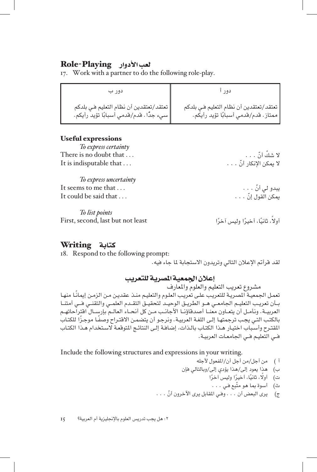#### لعب األدوار Playing-Role

17. Work with a partner to do the following role-play.

| دور ب                                                                                 | دو ر                                                                              |
|---------------------------------------------------------------------------------------|-----------------------------------------------------------------------------------|
| تعتقد/تعتقدين أن نظام التعليم فـي بلدكم<br>   سيء جدًا . قدم/قدمي أسبابًا تؤيد رأيكم. | تعتقد/تعتقدين أن نظام التعليم فـي بلدكم<br>  ممتاز . قدم/قدمي أسبابًا تؤيد رأيكم. |

#### Useful expressions

To express certainty ّ ال شك . . . that doubt no is There ّ أن . . . It is indisputable that ...

*To express uncertainty* ّ يبدو لي أن . . . . . . that me to seems It It could be said that  $\dots$ 

*To list points* First, second, last but not least

#### كتابة Writing

18. Respond to the following prompt:

لقد قرأتم الإعلان التالي وتريدون الاستجابة لما جاء فيه.

#### إعلان الجمعية المصرية للتعريب

مشروع تعريب التعليم والعلوم واملعارف ً تعمـل اجلمعيـة املصريـة للتعريـب علـى تعريـب العلـوم والتعليـم منـذ عقديـن مـن الزمـن إميانـا منهـا بـأن تعريب التعليـم الجامعـي هــو الطريــق الوحيــد لتحقيــق التقــدم العلمــي والتقنــي فــي أمتنــا العربيــة. ونأمــل أن يتعــاون معنــا أصدقاؤنــا األجانــب مــن كل أنحــاء العالــم بإرســال اقتراحاتهــم ً بالكتـب التـي يجـب ترجمتهـا إلـى اللغـة العربيـة. ونرجـو أن يتضمـن االقتـراح وصف ً ـا موجـزا للكتـاب المقترح وأسباب اختيـار هـذا الكتـاب بالـذات، إضافـة إلـى النتائـج المتوقعـة لاسـتخدام هـذا الكتـاب فــي التعليـم فــي اجلامعـات العربيـة.

Include the following structures and expressions in your writing.

- أ ( من أجل/من أجل أن/املفعول ألجله
- ب( هذا يعود إلى/هذا يؤدي إلى/وبالتالي فإن
	- ت) أولًا، ثانيًا، أخيرًا وليس آخرًا
		- ث) أسوة بما هو متّبع فـي . . .

أولاً، ثانيًا، أخيرًا وليس آخرًا

ج) يرى البعض أن . . . وفـي المقابل يرى الآخرون أنّ . . .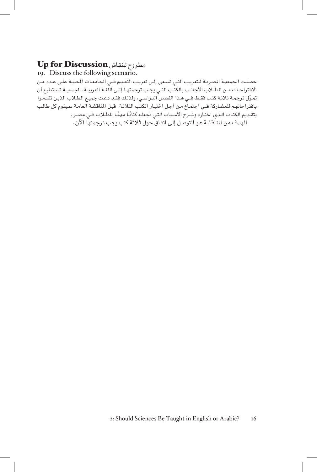#### مطروح للنقاش Discussion for Up

19. Discuss the following scenario.

حصلت الجمعيـة المصريـة للتعريـب التـي تسـعى إلـى تعريـب التعليـم فــي الجامعـات المحليـة علـى عـدد مـن الاقتراحـات مـن الطـلاب الأجانـب بالكتـب التـى يجـب ترجمتهـا إلـى اللغـة العربيــة. الجمعيــة تسـتطيع أن ّمتـول ترجمـة ثالثـة كتـب فقـط فــي هـذا الفصـل الدراسـي، ولذلـك فقـد دعـت جميـع الطـاب الذيـن تقدمـوا باقتراحاتهـم للمشـاركة فــي اجتمـاع مـن أجـل اختيـار الكتـب الثالثـة. قبـل املناقشـة العامـة سـيقوم كل طالـب بتقـديم الكتـاب الـذي اختـاره وشـرح الأسـباب التـي تجعلـه كتابًـا مهمًـا للطـلاب فــي مصـر. الهدف من المناقشة هو التوصل إلى اتفاق حول ثلاثة كتب يجب ترجمتها الآن.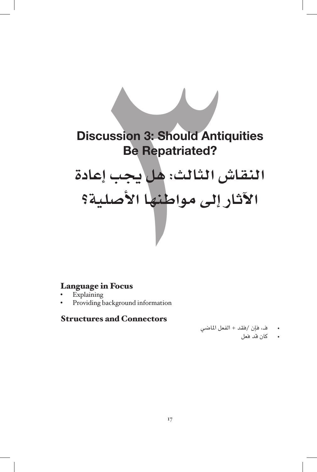# ussion 3: Should Antiqu<br>Be Repatriated?<br>ش الثالث: هل يجب<br>ار إلى مواطنها الأصلا<br>n Focus<br>ackground information<br>and Connectors **Discussion 3: Should Antiquities Be Repatriated? النقاش الثالث: هل يجب إعادة**

**اآلثار إلى مواطنها األصلية؟**

#### Language in Focus

- **Explaining**
- Providing background information

#### **Structures and Connectors**

- فــ، فإن /فقد + الفعل املاضي
	- كان قد فعل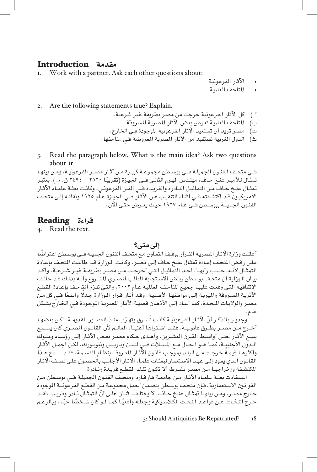# مقدمة **Introduction**<br>I. Work with a partner. A

- Work with a partner. Ask each other questions about:
- اآلثار الفرعونية

• املتاحف العاملية

- 2. Are the following statements true? Explain.
	- أ ( كل اآلثار الفرعونية خرجت من مصر بطريقة غير شرعية.
		- ب) المتاحف العالمية تعرض بعض الآثار المصرية المسروقة.
		- ت) مصر تريد أن تستعيد الآثار الفرعونية الموجودة فـي الخارج.
	- ث) الدول الغربية تستفيد من الآثار المصرية المعروضة فـي متاحفها .
- 3. Read the paragraph below. What is the main idea? Ask two questions about it.

فــي متحـف الفنـون الجميلــة فــي بوســطن مجموعــة كبيــرة مـن آثـار مصــر الفرعونيــة، ومـن بينهـا<br>تمثـال لـلأميـر عنـخ حـاف، مهنـدس الهـرم الثانـي فــي الجيـزة (تقريبًـا ٢٥٢٠ – ٢٤٩٤ ق. م.). يعتبـر تمثـال عنـخ حـاف مـن التماثيـل النـادرة والفريـدة فــي الفـن الفرعونـي. وكانـت بعثـة علمـاء الآثـار الأمريكيـين قـد اكتشـفته فــي أشـاء التنقيـب عـن الآثـار فــي الجيـزة عـام ١٩٢٥ ونقلتـه إلـي متحـف الفنـون الجميلـة ببوسـطن فــي عـام ١٩٢٧ حيـث يعـرض حتـي الآن.

#### قراءة Reading

4. Read the text.

#### إلى متى؟

ً أعلنـت وزارة اآلثـار املصريـة القـرار بوقـف التعـاون مـع متحـف الفنون اجلميلة فــي بوسـطن اعتراضا علـى رفـض المتحـف إعـادة تمثـال عنـخ حـاف إلـى مصـّر. وكانت الـوزارة قـد طالبت المتحـف بإعـادة التمثـال ألنـه، حسـب رأيهـا، أحـد التماثيـل التـي أخرجـت مـن مصـر بطريقـة غيـر شـرعية. وأكـد بيـان الـوزارة أن متحـف بوسـطن رفـض الاسـتجابة للطلب المصـري المشـروع وأنـه بذلـك قـد خالـف الاتفاقيـة التـي وقعت عليهـا جميـع المتاحف العالمية عـام ٢٠٠٢، والتـي تلـزم المتِاحـف بإعـادة القطـع الأثريـة المسـروقة والمهربـة إلـى مواطنهـا الأصليـة. وقـد أثـار قـرار الـوزارة جـدلا واسـعًا فــي كل مـن مصـر والولايـات المتحـدة، كمـا أعـاد إلـى الأذهـان قضيـة الآثـار المصريـة الموجـودة فــي الخـارج بشـكل عام.

وجديـر بالذكـر أنّ الآثـار الفرعونيـة كانـت تُسـرق وتهـرّب منـذ العصـور القديمـة، لكـن بعضهـا أخــرج مــن مصــر بطــرق قانونيــة. فقــد اشــتراها أغنيــاء العالــم ألن القانــون املصــري كان يســمح ببيـع اآلثـار حتـى أواسـط القـرن العشـرين. وأهـدى حـكام مصـر بعـض اآلثـار إلـى رؤسـاء وملـوك الــدول الأجنبيــة، كمــا هــو الحــال مــع المســلات فــي لنــدن وباريـس ونيويــورك. لكـن أجمـل الآثــار وأكثرهـا قيمـة خرجت مـن البلـد بموجب قانـون الآثـار المعروف بنظـام القسـمة. فقـد سـمح هـذا القانـون الـذي يعـود إلـى عهـد الاسـتعمار لبعثـات علمـاء الآثـار الأجـانـب بالحصـول علـى نصـف الآثـار املكتشـفة وإخراجهـا مـن مصـر بشـرط أال تكـون تلـك القطـع فريـدة ونـادرة.

اسـتفادت بعثـة علمـاء اآلثـار مـن جامعـة هارفـارد ومتحـف الفنـون اجلميلـة فــي بوسـطن مـن القوانـن االسـتعمارية. فـإن متحـف بوسـطن يتضمـن أجمـل مجموعـة مـن القطـع الفرعونيـة املوجودة خـارج مصــر، ومـن بينهـا تمثـال عنــخ حـاف. لا يختلـف اثنــان علــى أنّ التمثـال نــادر وفريـد. فقـد خـرج النحّـات عـن قواعـد النحـت الكلاسـيكية وجعلـه واقعيًـا كمـا لـو كان شـخصًا حيًـا . وبالرغـم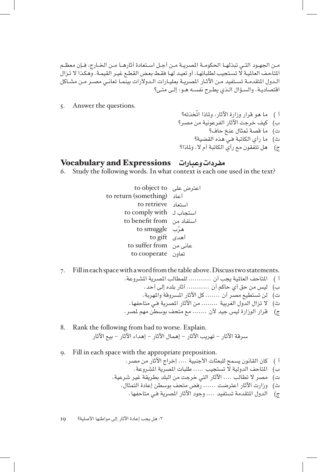مــن اجلهــود التــي تبذلهــا احلكومــة املصريــة مــن أجــل اســتعادة آثارهــا مــن اخلــارج، فــإن معظــم املتاحـف العامليـة ال تسـتجيب لطلباتهـا، أو تعيـد لهـا فقـط بعـض القطـع غيـر القيمـة. وهكـذا ال تـزال الـدول المتقدمـة تسـتفيد مـن الآثـار المصريـة بمليـارات الـدولارات بينمـا تعانـي مصـر مـن مشـاكل اقتصاديـة. والسـؤال الـذي يطـرح نفسـه هـو: إلـى متـى؟

- 5. Answer the questions.
- أ ( ّ ما هو قرار وزارة اآلثار، وملاذا اتخذته؟ ب) كيف خرجت الآثار الفرعونية من مصر؟ ت( ما قصة متثال عنخ حاف؟ ث( ما رأي الكاتبة فـي هذه القضية؟ ج) هل تتفقون مع رأي الكاتبة أم لا، ولماذا؟

#### مفردات وعبارات Expressions and Vocabulary

- 6. Study the following words. In what context is each one used in the text?
	- اعترض على to object to to return (something) أعاد استعاد retrieve to استجاب لـ to comply with استفاد من from benefit to مرّب to smuggle<br>أهدى to gift عانى من from suffer to تعاون cooperate to
- 7. Fill in each space with a word from the table above. Discuss two statements.
	- أ ) المتاحف العالمية يجب أن ........... للمطالب المصرية المشروعة.
		- ب( ليس من حق أي حاكم أن ........... آثار بلده إلى أحد.
		- ت) لن تستطيع مصر أن ....... كل الآثار المسروقة والمهربة.
		- ث) لا تزال الدول الغربية ........ من الآثار المصرية فـي متاحفها .
	- ج) قرار الوزارة ليس جيد لأن ....... مع متحف بوسطن مهم لمصر.
- 8. Rank the following from bad to worse. Explain. سرقة الآثار – تهريب الآثار – إهمال الآثار – إهداء الآثار – بيع الآثار
- 9. Fill in each space with the appropriate preposition.
	- أ ) كان القانون يسمح للبعثات الأجنبية .... إخراج الآثار من مصر.
		- ب) للتاحف الدولية لا تستجيب ..... طلبات المصرية المشروعة.
	- ت) مصر لا تطالب .... الآثار التي خرجت من البلد بطريقة غير شرعية.
		- ث( وزارت اآلثار اعترضت ...... رفض متحف بوسطن إعادة التمثال.
			- ج) الدول المتقدمة تستفيد .... وجود الآثار المصرية فـي متاحفها.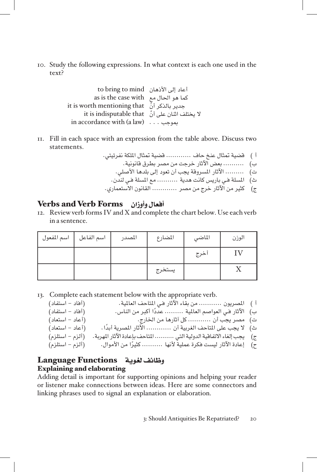to. Study the following expressions. In what context is each one used in the ?text

| to bring to mind (الحان لله عاد إلى الأذهان  |  |
|----------------------------------------------|--|
| as is the case with as is the case with      |  |
| it is worth mentioning that بحدير بالذكر أنّ |  |
| it is indisputable that يختلف اشان على أنّ   |  |
|                                              |  |

II. Fill in each space with an expression from the table above. Discuss two .statements

أ ( قضية متثال عنخ حاف ............ قضية متثال امللكة نفرتيتي. ب( .......... بعض اآلثار خرجت من مصر بطرق قانونية. ت( ......... اآلثار املسروقة يجب أن تعود إلى بلدها األصلي. ث( املسلة فـي باريس كانت هدية .......... مع املسلة فـي لندن. ج( كثير من اآلثار خرج من مصر ............ القانون االستعماري.

#### أفعال وأوزان Forms Verb and Verbs

12. Review verb forms IV and X and complete the chart below. Use each verb in a sentence.

| اسم المفعول | اسم الفاعل | المصدر | المضارع | الماضي | الوزن |
|-------------|------------|--------|---------|--------|-------|
|             |            |        |         | أخرج   |       |
|             |            |        | يستخرج  |        |       |

13. Complete each statement below with the appropriate verb.

| (أفاد – استفاد) | أ )    المصريون  من بقاء الآثار فـي المتاحف العالمية.                   |  |
|-----------------|-------------------------------------------------------------------------|--|
| (أفاد – استفاد) | ب)   الآثار فـي الـعواصم الـعالمية ……… عددًا أكبر من النـاس.            |  |
| (أعاد – استعاد) | ت)   مصر يجب أن  كل آثارها من الخارج.                                   |  |
| (أعاد – استعاد) | ث)   لا يجب على المتاحف الغربية أن  الآثار المصرية أبدًا.               |  |
| (ألزم – استلزم) | ج)     يجب إلغاء الاتفاقية الدولية التي  المتاحف بإعادة الآثار المهربة. |  |
| (ألزم – استلزم) | ح)     إعادة الآثار ليست فكرة عملية لأنها  ………. كثيرًا من الأموال.      |  |
|                 |                                                                         |  |

#### وظائف لغوية Functions Language **Explaining and elaborating**

Adding detail is important for supporting opinions and helping your reader or listener make connections between ideas. Here are some connectors and linking phrases used to signal an explanation or elaboration.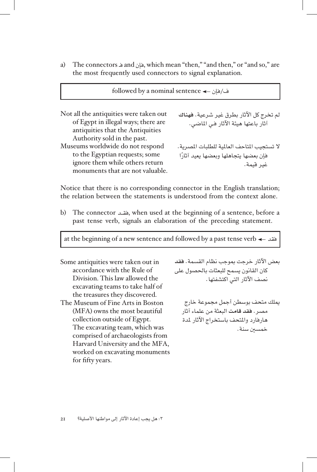a) The connectors  $\triangleq$  and  $\triangleq$ بان which mean "then," "and then," or "and so," are the most frequently used connectors to signal explanation.

 $followed$  by a nominal sentence  $\leftarrow$ ف/فإن لم تخرج كل اآلثار بطرق غير شرعية. **فهناك** آثار باعتها هيئة الآثار فـي الماضي. Not all the antiquities were taken out of Egypt in illegal ways; there are antiquities that the Antiquities Authority sold in the past. لا تستجيب المتاحف العالمية للطلبات المصرية. ً فإن بعضها يتجاهلها وبعضها يعيد آثارا غير قيمة. Museums worldwide do not respond to the Egyptian requests; some ignore them while others return monuments that are not valuable.

Notice that there is no corresponding connector in the English translation; the relation between the statements is understood from the context alone.

b) The connector , estented at the beginning of a sentence, before a past tense verb, signals an elaboration of the preceding statement.

at the beginning of a new sentence and followed by a past tense verb  $\leftarrow$  at

Some antiquities were taken out in accordance with the Rule of Division. This law allowed the excavating teams to take half of the treasures they discovered. The Museum of Fine Arts in Boston  $(MFA)$  owns the most beautiful collection outside of Egypt. The excavating team, which was comprised of archaeologists from Harvard University and the MFA, worked on excavating monuments for fifty years.

بعض اآلثار خرجت مبوجب نظام القسمة. **فقد** كان القانون يسمح للبعثات بالحصول على نصف اآلثار التي اكتشفتها.

ميلك متحف بوسطن أجمل مجموعة خارج مصر. **فقد قامت** البعثة من علماء آثار هارفارد واملتحف باستخراج اآلثار ملدة خمسين سنة.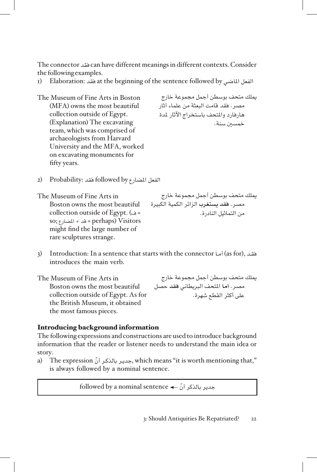Consider .contexts different in meanings different have can فقد connector The the following examples.

- r) Elaboration: فقد at the beginning of the sentence followed by فقد الملاضى I
- The Museum of Fine Arts in Boston  $(MFA)$  owns the most beautiful collection outside of Egypt. (Explanation) The excavating team, which was comprised of archaeologists from Harvard University and the MFA, worked on excavating monuments for fifty years.

ميلك متحف بوسطن أجمل مجموعة خارج مصر. فقد قامت البعثة من علماء آثار هارفارد واملتحف باستخراج اآلثار ملدة خمسني سنة.

الفعل املضارع by followed فقد :Probability) 2

The Museum of Fine Arts in Boston owns the most beautiful  $=$  ف) .collection outside of Egypt Visitors) perhaps = قد + املضارع ;so might find the large number of rare sculptures strange.

ميلك متحف بوسطن أجمل مجموعة خارج مصر. **فقد يستغرب** الزائر الكمية الكبيرة من التماثيل النادرة.

فقيد ,(as for) أمـا Introduction: In a sentence that starts with the connector أما introduces the main verb.

The Museum of Fine Arts in Boston owns the most beautiful collection outside of Egypt. As for the British Museum, it obtained the most famous pieces.

ميلك متحف بوسطن أجمل مجموعة خارج مصر. **أما** املتحف البريطاني **فقد** حصل على أكثر القطع شهرة.

#### Introducing background information

The following expressions and constructions are used to introduce background information that the reader or listener needs to understand the main idea or story.

a) The expression بحدير بالذكر أنّ which means "it is worth mentioning that," is always followed by a nominal sentence.

 $\text{followed by a nominal sentence} \leftarrow \mathbb{Z}$ جدير بالذكر أنّ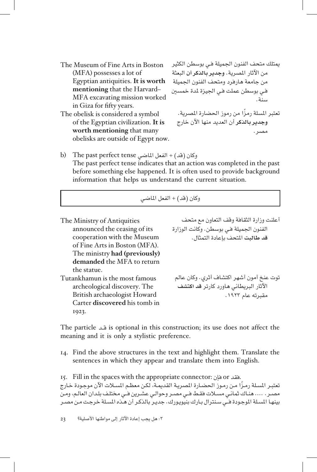The Museum of Fine Arts in Boston  $(MFA)$  possesses a lot of **Egyptian antiquities. It is worth** mentioning that the Harvard-MFA excavating mission worked in Giza for fifty years.

The obelisk is considered a symbol of the Egyptian civilization. It is worth mentioning that many obelisks are outside of Egypt now.

ميتلك متحف الفنون اجلميلة فـي بوسطن الكثير من اآلثار املصرية. **وجدير بالذكر أن** البعثة من جامعة هارفرد ومتحف الفنون الجميلة فـي بوسطن عملت فـي اجليزة ملدة خمسني سنة. ً تعتبر املسلة رمزا من رموز احلضارة املصرية. **وجدير بالذكر** أن العديد منها اآلن خارج

مصر.

b) The past perfect tense وكان (قد) + الفعل الماضي The past perfect tense indicates that an action was completed in the past before something else happened. It is often used to provide background information that helps us understand the current situation.

#### وكان (قد) + الفعل الماضي

أعلنت وزارة الثقافة وقف التعاون مع متحف الفنون الجميلة فـي بوسطن. وكانت الوزارة **قد طالبت** املتحف بإعادة التمثال. The Ministry of Antiquities announced the ceasing of its cooperation with the Museum of Fine Arts in Boston (MFA). The ministry had (previously) demanded the MFA to return the statue. توت عنخ أمون أشهر اكتشاف أثري. وكان عالم اآلثار البريطاني هاورد كارتر **قد اكتشف** مقبرته عام .١٩٢٣ Tutankhamun is the most famous archeological discovery. The British archaeologist Howard Carter discovered his tomb in 1923.

the particle is optional in this construction; its use does not affect the meaning and it is only a stylistic preference.

14. Find the above structures in the text and highlight them. Translate the sentences in which they appear and translate them into English.

15. Fill in the spaces with the appropriate connector: فقد or فإن تعتبـر المسلة رمـزًا مـن رمـوز الحضـارة المصريـة القديمـة، لكـن معظـم المسـلات الآن موجـودة خـارج مصـر. .... هنـاك ثمانـي مسـات فقـط فــي مصـر وحوالـي عشـرين فــي مختلـف بلـدان العالـم، ومـن بينهـا املسـلة املوجـودة فــي سـنترال بـارك بنيويـورك. جديـر بالذكـر أن هـذه املسـلة خرجـت مـن مصـر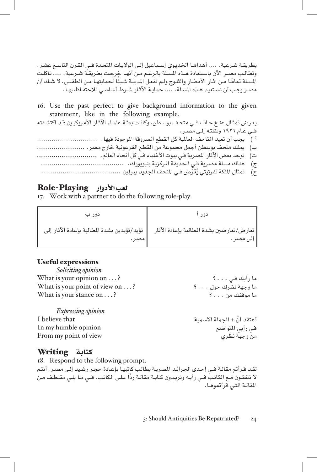بطريقـة شـرعية. .... أهداهـا الخديـوي إسـماعيل إلـى الولايـات المتحـدة فــي القـرن التاسـع عشـر. وتطالـب مصـر اآلن باسـتعادة هـذه املسـلة بالرغـم مـن أنهـا خرجـت بطريقـة شـرعية. .... تآكلـت المسلة تمامًـا مـن آثـار الأمطـار والثلـوج ولـم تفعـل المدينـة شـيئًا لحمايتهـا مـن الطقـس. لا شـك أن<br>مصـر يجـب أن تسـتعيد هـذه المـلـة. .... حمايـة الآثـار شـرط أسـاسـي للاحتفـاظ بهـا .

16. Use the past perfect to give background information to the given statement, like in the following example.

يعـرض متثـال عنـخ حـاف فــي متحـف بوسـطن. وكانـت بعثـة علمـاء اآلثـار األمريكيـن قـد اكتشـفته فــي عـام ١٩٢٦ ونقلتـه إلـى مصـر. أ ( يجب أن تعيد املتاحف العاملية كل القطع املسروقة املوجودة فيها. ............................. ب( ميلك متحف بوسطن أجمل مجموعة من القطع الفرعونية خارج مصر. ....................... ت( توجد بعض اآلثار املصرية فـي بيوت األغنياء فـي كل أنحاء العالم. ............................. ج( هناك مسلة مصرية فـي احلديقة املركزية بنيويورك. ........................................ ُْعَرض فـي املتحف اجلديد ببرلني ...................................... ح( متثال امللكة نفرتيتي ي

#### لعب األدوار Playing-Role

17. Work with a partner to do the following role-play.

| دور ب  | دەد                                                                                                      |
|--------|----------------------------------------------------------------------------------------------------------|
| مصبر . | تعارض/تعارضين بشدة المطالبة بإعادة الآثار −     تؤيد/تؤيدين بشدة المطالبة بإعادة الآثار إلى<br>الی مصر . |

#### Useful expressions

| Soliciting opinion                      |                    |
|-----------------------------------------|--------------------|
| What is your opinion on $\dots$ ?       | ما رأيك فـى ؟      |
| What is your point of view on $\dots$ ? | ما وجهة نظرك حول ؟ |
| What is your stance on $\dots$ ?        | ما موقفك من ؟      |
| <b>Expressing opinion</b>               |                    |

أعتقد أنّ + الجملة الاسمية  $\text{I}$  helieve that  $\text{In}\,\text{my}$  humble opinion  $\text{in}\,\text{my}$ فـي رأيي املتواضع opinion humble my In From my point of view

#### كتابة Writing

18. Respond to the following prompt. لقـد قـرأتم مقالـة فــي إحـدى الجرائـد المصريـة يطالب كاتبهـا بإعـادة حجـر رشـيد إلـى مصـر. أنتـم ً ال تتفقـون مـع الكاتـب فــي رأيـه وتريـدون كتابـة مقالـة ردا علـى الكاتـب. فــي مـا يلـي مقتطـف مـن المقالـة التـي قرأتموهـا.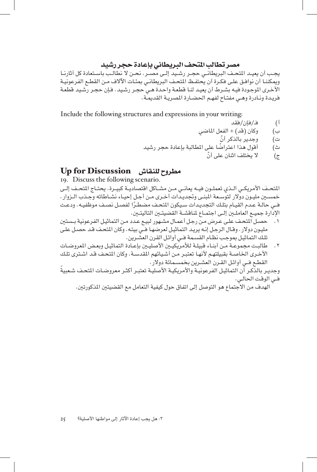#### مصر تطالب املتحف البريطاني بإعادة حجر رشيد

يجــب أن يعيــد املتحــف البريطانــي حجــر رشــيد إلــى مصــر. نحــن ال نطالــب باســتعادة كل آثارنــا ويمكننـا أن نوافـق علـى فكـرة أن يحتفـظ المتحـف البريطانـي بمئـات الآلاف مـن القطـع الفرعونيـة الأخـرى الموجـودة فيـه بشـرط أن يعيـد لنـا قطعـة واحـدة هـي حجـر رشـيد رشـيد قطعـة فريـدة ونـادرة وهـي مفتـاح لفهـم احلضـارة املصريـة القدميـة.

Include the following structures and expressions in your writing:

- أ( فـ/فإن/فقد
- ب) وكان (قد) + الفعل الماضي
	- ت) وجدير بالذكر أنّ
- ث) أقول هذا اعتراضًا على المطالبة بإعادة حجر رشيد
	- ج) لا يختلف اثنان على أنّ

#### مطروح للنقاش Discussion for Up

19. Discuss the following scenario.

المتحـف الأمريكـي الـذي تعملـون فيـه يعانـي مـن مشــاكل اقتصاديـة كبيـرة. يحتـاج المتحـف إلـي خمسـن مليـون دوالر لتوسـعة املبنـى وجتديـدات أخـرى مـن أجـل إحيـاء نشـاطاته وجـذب الـزوار. ً فــي حالـة عـدم القيـام بتلـك التجديـدات سـيكون املتحـف مضطـرا لفصـل نصـف موظفيـه. ودعـت اإلدارة جميــع العاملــن إلــى اجتمــاع ملناقشــة القضيتــن التاليتــن.

- ٠. حصـل المتحـف علـى عـرض مـن رجـل أعمـال مشـهور لبيـع عـدد مـن التماثيـل الفرعونية بـستين مليون دولار. وقـال الرجل إنـه يريـد التماثيـل لعرضهـا فـى بيتـه. وكان المتحف قـد حصـل علـى تلـك التماثيـل مبوجـب نظـام القسـمة فــي أوائـل القرن العشـرين.
- . طالبـت مجموعـة مـن أبنـاء قبيلـة لألمريكيـن األصليـن بإعـادة التماثيـل وبعـض املعروضـات الأخـرى الخاصـة بقبيلتهـم لأنهـا تعتبـر مـن أشـيائهم المقدسـة. وكان المتحف قـد اشـترى تلـك القطـع فــي أوائـل القـرن العشـرين بخمسـمائة دوالر.

وجديـر بالذكـر أن التماثيـل الفرعونيـة والأمريكيـة الأصليـة تعتبـر أكثـر معروضـات المتحـف شـعبية فــي الوقـت احلالـي.

الهدف من الاجتماع هو التوصل إلى اتفاق حول كيفية التعامل مع القضيتين المذكورتين.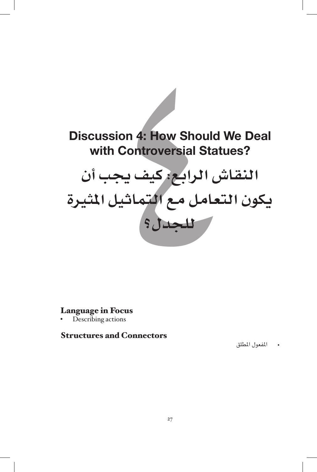

#### Language in Focus

Describing actions

#### **Structures and Connectors**

• املفعول املطلق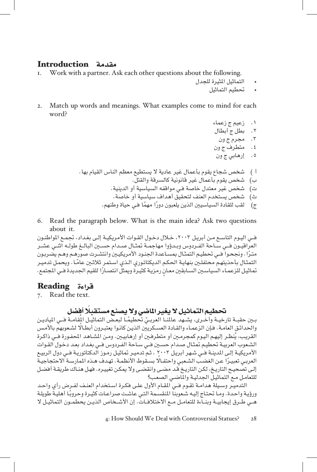# مقدمة **Introduction**<br>I. Work with a partner. A

- Work with a partner. Ask each other questions about the following.
	- التماثيل املثيرة للجدل
		- حتطيم التماثيل
- 2. Match up words and meanings. What examples come to mind for each ?word
	- . زعيم ج زعماء . بطل ج أبطال
	- . مجرم ج ون
	- . متطرف ج ون
	- . إرهابي ج ون
	- أ ( شخص شجاع يقوم بأعمال غير عادية ال يستطيع معظم الناس القيام بها.
		- ب( شخص يقوم بأعمال غير قانونية كالسرقة والقتل.
		- ت( شخص غير معتدل خاصة فـي مواقفه السياسية أو الدينية.
		- ث( شخص يستخدم العنف لتحقيق أهداف سياسية أو خاصة.
		- ج) لقب للقادة السياسيين الذين يلعبون دورًا مهمًا فـي حياة وطنهم.
- 6. Read the paragraph below. What is the main idea? Ask two questions about it.

فــي اليـوم التاسـع مـن أبريـل ،۲۰۰۳ خـال دخـول القـوات األمريكيـة إلـى بغـداد، جتمـع املواطنـون العراقيــون فــي ســاحة الفــردوس وبــدؤوا مهاجمــة تمثــال صــدام حســين البـالــغ طولــه اثنــي عشــر<br>متـرًا . ونجحـوا فــي تحطيـم التمثـال بمســاعدة الجنـود الأمريكيـين وانتشـرت صورهـم وهـم يضربـون التمثـال بأحذيتهـم محتفلـين بنهايـة الحكـم الديكتاتـوري الـذي اسـتمر ثـلاثـين عامًـا . ويحمـل تدميـر تماثيل للزعمـاء السياسـين السـابقين معـان رمزيـة كثيـرة ويمثل انتصـارًا للقيم الجديدة فـي المجتمع.

#### قراءة Reading

7. Read the text.

#### تحطيم التماثيل لا يغير الماضي ولا يصنع مستقبلا أفضل

بـين حقبــة تارخيــة وأخـرى، يشـهد عالمنــا العربـيّ تحطيمًـا لبعـض التماثيـل المُقامــة فــي المياديـن والحدائق العامـة. فـإن الزعمـاء والقـادة العسـكريين الذيـن كانـوا يعتبـرون أبطـالًا لشـعوبهم بالأمـس القريب، يُنظـر إليهم اليـوم كمجرمـين أو متطرفـين أو إرهـابيـين. ومـن المشـاهـد المحفـورة فــي ذاكـرة الشـعوب العربيـة تحطيـم تمثـال صـدام حسـين فـي سـاحة الفـردوس فـي بغـداد بعـد دخـول القـوات الأمريكيـة إلـى المدينـة فــي شـهر أبريـل ٢٠٠٣ ، ثـم تدميـر تماثيـل رمـوز الدكتاتوريـة فـي دول الربيـع العربـي تعبيـرًا عـن الغضب الشـعبي واحتفـالا بسـقوط الأنظمـة. تهـدف هـذه الممارسـة الاحتجاجيـة<br>إلـى تصحيـح التاريـخ، لكـن التاريـخ قـد مضـي وانقضـي ولا يمكـن تغييـره. فهـل هنـاك طريقـة أفضـل للتعامـل مـع التماثيـل اجلدليـة واملاضـي الصعـب؟

التدميـر وسـيلة هدامـة تقـوم فــي المقـام الأول علـى فكـرة اسـتخدام العنـف لفـرض رأي واحـد ً ورؤيـة واحـدة. ومـا حتتـاج إليـه شـعوبنا املنقسـمة التـي عاشـت صراعـات كثيـرة وحروبـا أهليـة طويلـة هــي طــرق إيجابيــة وبنــاءة للتعامــل مــع االختالفــات. إن األشــخاص الذيــن يحطمــون التماثيــل ال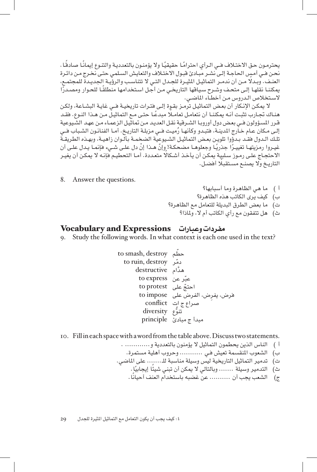يحترمـون حـق الاختـلاف فـي الـرأي احترامًـا حقيقيًـا ولا يؤمنـون بالتعدديـة والتتـوع إيمانًـا صـادهًـا .<br>نحـن فـي أمـس الحـاجـة إلـي نشـر مبـادئ قبـول الاختـلاف والتعايش السـلمـي حتـي نخـرج مـن دائـرة العنـف. وبـدلا مـن أن ندمـر التماثيـل المثيـرة للجـدل التـي لا تتناسـب والرؤيـة الجديـدة للمجتمـع، يمكننـا نقلهـا إلـى متحـف وشـرح سـياقها التاريخـي مـن أجـل اسـتخدامها منطلقًـا للحـوار ومصـدرًّا السـتخالص الـدروس مـن أخطـاء املاضـي.

ال ميكـن اإلنـكار أن بعـض التماثيـل ترمـز بقـوة إلـى فتـرات تاريخيـة فــي غايـة البشـاعة، ولكـن هنـاك تجـارب تثبت أنـه يمكننـا أن نتعامـل تعامـلًا مبدعًـا حتـى مـع التماثيـل مـن هـذا النـوع. فقـد قـرر المسـؤولون فــي بعـض دول أوروبـا الشـرقية نقـل العديـد مـن تماثيـل الزعمـاء مـن عهـد الشّـيوعية<br>إلـي مـكان عـام خـارج المدينـة، فتبـدو وكأنهـا رُميـت فــي مـزبلـة التاريـخ. أمـا الفنانـون الشـباب فــي تلـك الـدول فقـد بـدؤوا تلويـن بعـض التماثيـل الشـيوعية الضخمـة بألـوان زاهيـة، وبهـذه الطـريقـة<br>غيـروا رمـزيتهـا تغييـرًا جـذريًـا وجعلوهـا مضحكـة! وإنّ هــذا إنّ دل علـي شــيء فإنمـا يـدل علـي أن الاحتجـاج علـى رمـوز سـلبية يمكـن أن يأخـذ أشـكالا متعـددة. أمـا التحطيـم فإنـه لا يمكـن أن يغيـر التاريـخ وال يصنـع مسـتقبًل أفضـل.

8. Answer the questions.

أ ( ما هي الظاهرة وما أسبابها؟ ب) كيف يرى الكاتب هذه الظاهرة؟ ت) ما بعض الطرق البديلة للتعامل مع الظاهرة؟ ث( هل تتفقون مع رأي الكاتب أم ال، وملاذا؟

#### مفردات وعبارات Expressions and Vocabulary

9. Study the following words. In what context is each one used in the text?

ّحطم destroy ,smash to َّهدام destructive ّدمر destroy ,ruin to عب express to ّر عن ِ فرض، يفرض، الفرض على impose to ّ احتج على protest to صراع ج ات conflict تنوع diversity ُّ مبدأ ج مبادئ principle

10. Fill in each space with a word from the table above. Discuss two statements.

- أ ) الناس الذين يحطمون التماثيل لا يؤمنون بالتعددية و............. .
	- ب) الشعوب المنقسمة تعيش فـي ............ وحروب أهلية مستمرة.
- ت) تدمير التماثيل التاريخية ليس وسيلة مناسبة للـ....... على الماضي.
	- ث) التدمير وسيلة ....... وبالتالي لا يمكن أن تبني شيئًا إيجابيًا.
		- ج) الشعب يجب أن .......... عن غضبه باستخدام العنف أحيانًا .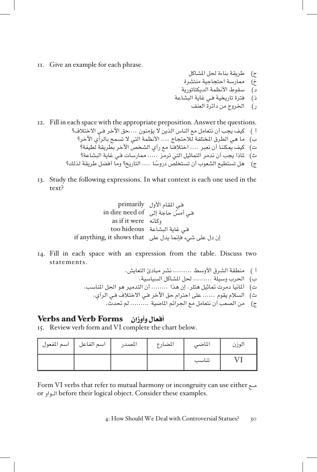- II. Give an example for each phrase.
- ح) طريقة بناءة لحل المشاكل
- خ) ممارسة احتجاجية منتشرة
- د) سقوط الأنظمة الديكتاتورية
- ذ) فترة تاريخية فـي غاية البشاعة
	- ر( اخلروج من دائرة العنف
- 12. Fill in each space with the appropriate preposition. Answer the questions.

أ ( كيف يجب أن نتعامل مع الناس الذين ال يؤمنون ....حق اآلخر فـي االختالف؟ ب( ما هي الطرق املختلفة لالحتجاج .... األنظمة التي ال تسمح بالرأي اآلخر؟ ت( كيف ميكننا أن نعبر .... اختالفنا مع رأي الشخص اآلخر بطريقة لطيفة؟ ث( ملاذا يجب أن ندمر التماثيل التي ترمز ..... ممارسات فـي غاية البشاعة؟ ج( ً هل تستطيع الشعوب أن تستخلص دروسا .... التاريخ؟ وما أفضل طريقة لذلك؟

13. Study the following expressions. In what context is each one used in the text?

فـي املقام األول primarily of need dire in ّ فـي أمس حاجة إلى وكأنه were it if as فـي غاية البشاعة hideous too إن دل على شيء فإمنا يدل على that shows it ,anything if

- 14. Fill in each space with an expression from the table. Discuss two statements.
	- أ ( منطقة الشرق األوسط ......... نشر مبادئ التعايش. ب) الحرب وسيلة ......... لحل المشاكل السياسية. ت) ألمانيا دمرت تماثيل هتلر. إن هذا ........ أن التدمير هو الحل المناسب.
		- ث) السلام يقوم ...... على احترام حق الآخر فـي الاختلاف فـي الرأي.
			- ج) من الصعب أن نتعامل مع الجرائم الماضية ......... لم تحدث.

#### أفعال وأوزان Forms Verb and Verbs

15. Review verb form and VI complete the chart below.

| اسم المفعول | اسم الفاعل | المصدر | المضارع | الماضى | الوزن |
|-------------|------------|--------|---------|--------|-------|
|             |            |        |         | تناسب  |       |

مـع Form VI verbs that refer to mutual harmony or incongruity can use either or الـواو before their logical object. Consider these examples.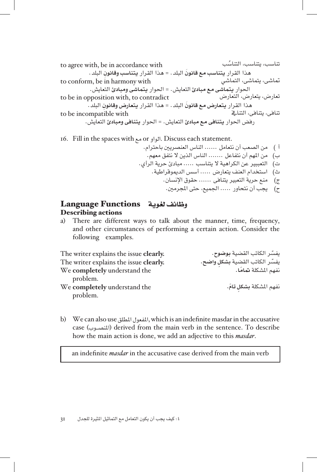ُ تناسب، يتناسب، التناسب with accordance in be ,with agree to هذا القرار **َ يتناسب مع قانون** البلد. = هذا القرار **ِ يتناسب وقانون** البلد. متاشى، يتماشى، التماشي with harmony in be ,conform to احلوار **يتماشى مع مبادئ** التعايش. = احلوار **يتماشى ومبادئ** التعايش. contradict to ,with opposition in be to تعارض، يتعارض، التعارض هذا القرار **َ يتعارض مع قانون** البلد. = هذا القرار **ِ يتعارض وقانون** البلد. with incompatible be to تنافى، يتنافى، التنايف رفض احلوار **يتنافى مع مبادئ** التعايش. = احلوار **يتنافى ومبادئ** التعايش.

.statement each Discuss .الواو or مع with spaces the in Fill 16. أ ( من الصعب أن نتعامل ...... الناس العنصريني باحترام. ب( من املهم أن نتفاعل ....... الناس الذين ال نتفق معهم. ت( التعببير عن الكراهية ال يتناسب ..... مبادئ حرية الرأي. ث( استخدام العنف يتعارض ..... أسس الدميوقراطية. ج( منع حرية التعبير يتنافى ...... حقوق اإلنسان. ح( يجب أن نتحاور ..... اجلميع، حتى املجرمني.

#### وظائف لغوية Functions Language Describing actions

a) There are different ways to talk about the manner, time, frequency, and other circumstances of performing a certain action. Consider the following examples.

ّ يفسر الكاتب القضية **ٍ بشكل .clearly** issue the explains writer The **واضح.** ّ يفسر الكاتب القضية **بوضوح**. **.clearly** issue the explains writer The We completely understand the problem. نفهم املشكلة **ٍ بشكل ّ تام.** the understand **completely** We problem.

b) We can also use المفعول المطلق, which is an indefinite masdar in the accusative case (المنصوب) derived from the main verb in the sentence. To describe how the main action is done, we add an adjective to this *masdar*.

an indefinite *masdar* in the accusative case derived from the main verb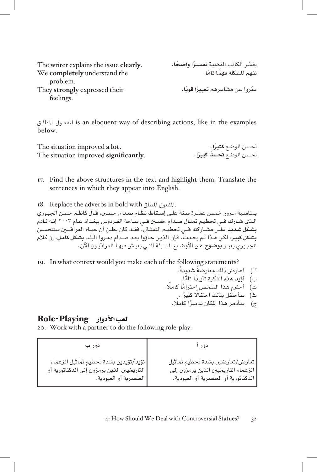| The writer explains the issue clearly. | يفسِّر الكاتب القضية تفسيرًا واضحًا.             |
|----------------------------------------|--------------------------------------------------|
| We completely understand the           | نفهم المشكلة فهمًا تامًا.                        |
| problem.                               |                                                  |
| They strongly expressed their          | عبّروا عن مشاعرهم <b>تعبيرً</b> ا <b>قويًا</b> . |
| feelings.                              |                                                  |

is an eloquent way of describing actions; like in the examples المفعول المطلـق .below

| The situation improved a lot.         | تحسن الوضع <b>كثيرً</b> ا .       |
|---------------------------------------|-----------------------------------|
| The situation improved significantly. | تحسن الوضع <b>تحسنًا كبيرً</b> ا. |

17. Find the above structures in the text and highlight them. Translate the sentences in which they appear into English.

. المفعول المطلق I8. Replace the adverbs in bold with المفعول المطلق. مبناسـبة مـرور خمـس عشـرة سـنة علـى إسـقاط نظـام صـدام حسـن، قـال كاظـم حسـن اجلبـوري الـذي شـارك فــي حتطيـم متثـال صـدام حسـن فــي سـاحة الفـردوس ببغـداد عـام 2003 إنـه نـادم **بشـكل شـديد** علــى مشــاركته فـــي حتطيــم التمثــال. فقــد كان يظــن أن حيــاة العراقيــن ستتحســن **بشـكل كبيـر**، لكـن هـذا لـم يحـدث. فـإن الذيـن جـاؤوا بعـد صـدام دمـروا البلـد **بشـكل كامـل.** إن كالم الجبـوري يعبـر **بوضـوح** عـن الأوضـاع السـيئة التـي يعيـش فيهـا العراقيـون الآن.

19. In what context would you make each of the following statements?

- أ ( ً أعارض ذلك معارضة ً شديدة.
- ب) أؤيد هذه الفكرة تأييدًا تامًّا .
- ت) أحترم هذا الشخص إحترامًا كاملًا . ث) - سأحتفل بذلك احتفالًا كبيرًا .
	-

#### ج) – سأدمر هذا المكان تدميرًا كاملًا .

#### لعب الأدوار Role-Playing

20. Work with a partner to do the following role-play.

| دور ب                                      | دور ا                                |
|--------------------------------------------|--------------------------------------|
| تؤيد/تؤيدين بشدة تحطيم تماثيل الزعماء      | تعارض/تعارضين بشدة تحطيم تماثيل      |
| التاريخيين الذين يرمزون إلى الدكتاتورية أو | الزعماء التاريخيين الذين يرمزون إلى  |
| العنصرية أو العبودية.                      | الدكتاتورية أو العنصرية أو العبودية. |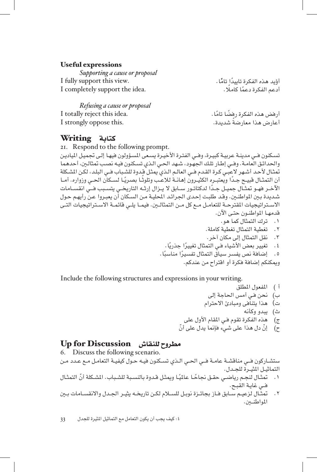#### Useful expressions

*Supporting a cause or proposal* أَوَّيد هذه الفكرة تاييدًا تامًّا .<br>أدعم الفكرة تاييدًا تامًا .<br>أدعم الفكرة دعمًا كاملًا . I completely support the idea.

*Refusing a cause or proposal* I totally reject this idea. أرفض هذه الفكرة رفضًا تامًا .<br>أعارض هذا معارضةً شديدة .<br>أعارض هذا معارضةً شديدة .

كتابة Writing

21. Respond to the following prompt. تسـكنون فــي مدينـة عربيـة كبيـرة، وفــي الفتـرة األخيـرة يسـعى املسـؤولون فيهـا إلـى جتميـل املياديـن واحلدائـق العامـة. وفــي إطـار تلـك اجلهـود، شـهد احلـي الـذي تسـكنون فيـه نصـب متثالـن، أحدهما تمثـال لأحـد أشـهر لاعبـي كـرة القـدم فــي العالـم الـذي يمثـل قـدوة للشـباب فــي البلـد، لكـن المشـكلة أن التمثــال فبيــح جـدًا ويعتبــرهِ الكثيــرون إهـانــة لـلاعـب وتلوثـا بصـريًـا لســكان الحــي وزواره. أمــا ً اآلخــر فهــو متثــال جميــل جــدا لدكتاتــور ســابق ال يــزال إرثــه التاريخــي يتســبب فـــي انقســامات شـديدة بـين المواطنـين. وقـد طلبـت إحـدى الجـرائـد المحليـة مـن السـكان أن يعبـروا عـن رأيهـم حـول االســتراتيجيات املقترحــة للتعامــل مــع كل مــن التمثالــن. فيمــا يلــي قائمــة االســتراتيجيات التــى قدمهـا املواطنـون حتـى اآلن. . ترك التمثال كما هو. . تغطية التمثال تغطية كاملة. . نقل التمثال إلى مكان آخر. ٤. تغيير بعض الأشياء فـي التمثال تغييرًا جذريًا . . ً إضافة نص يفسر سياق التمثال تفسير ً ا مناسبا.

Include the following structures and expressions in your writing.

- أ ) المفعول المطلق
- ب) نحن فى أمس الحاجة إلى

أؤيد هذه الفكرة تاييدًا تامًّا.

أعارض هذا معارضة شديدة.

- ت( هذا يتنافى ومبادئ االحترام
	- ث( يبدو وكأنه
- ج) هذه الفكرة تقوم فى المقام الأول على

وميكنكم إضافة فكرة أو اقتراح من عندكم.

ح) إنَّ دل هذا على شيء فإنما يدل على أنَّ

#### مطروح للنقاش Discussion for Up

6. Discuss the following scenario. ستشـاركون فــي مناقشـة عامـة فــي احلـي الـذي تسـكنون فيـه حـول كيفيـة التعامـل مـع عـدد مـن التماثيــل املثيــرة للجــدل. . ً متثـال لنجـم رياضـي حقـق جناح ً ـا عاملي ّ ـا وميثـل قـدوة بالنسـبة للشـباب. املشـكلة أن التمثـال فــي غايـة القبـح.

. متثــال لزعيــم ســابق فــاز بجائــزة نوبــل للســام لكــن تاريخــه يثيــر اجلــدل واالنقســامات بــن املواطنــن.

:٤ كيف يجب أن يكون التعامل مع التماثيل املثيرة للجدل 33